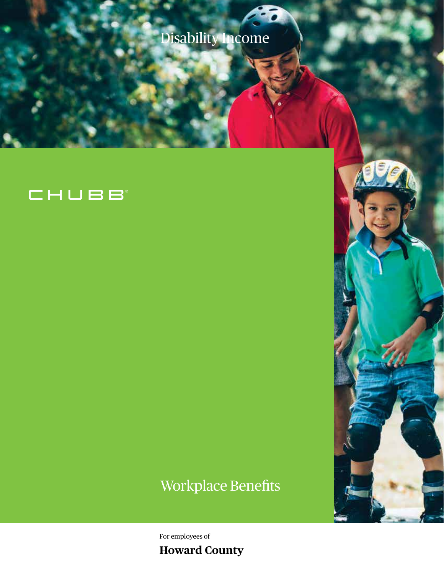Disability Income

## CHUBB

# Workplace Benefits

For employees of **Howard County**

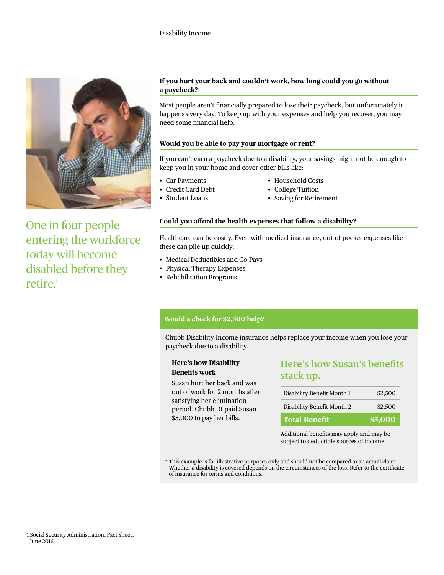

One in four people entering the workforce today will become disabled before they retire.<sup>1</sup>

#### **If you hurt your back and couldn't work, how long could you go without a paycheck?**

Most people aren't financially prepared to lose their paycheck, but unfortunately it happens every day. To keep up with your expenses and help you recover, you may need some financial help.

#### **Would you be able to pay your mortgage or rent?**

If you can't earn a paycheck due to a disability, your savings might not be enough to keep you in your home and cover other bills like:

• Car Payments

- Household Costs
- College Tuition
- Credit Card Debt • Student Loans
- Saving for Retirement

#### **Could you afford the health expenses that follow a disability?**

Healthcare can be costly. Even with medical insurance, out-of-pocket expenses like these can pile up quickly:

- Medical Deductibles and Co-Pays
- Physical Therapy Expenses
- Rehabilitation Programs

#### **Would a check for \$2,500 help?**

Chubb Disability Income insurance helps replace your income when you lose your paycheck due to a disability.

#### **Here's how Disability Benefits work**

Susan hurt her back and was out of work for 2 months after satisfying her elimination period. Chubb DI paid Susan \$5,000 to pay her bills.

### **Here's how Susan's benefits stack up.**

| Disability Benefit Month 1 | \$2,500 |
|----------------------------|---------|
| Disability Benefit Month 2 | \$2,500 |
| <b>Total Benefit</b>       | \$5,000 |

Additional benefits may apply and may be subject to deductible sources of income.

\* This example is for illustrative purposes only and should not be compared to an actual claim. Whether a disability is covered depends on the circumstances of the loss. Refer to the certificate of insurance for terms and conditions.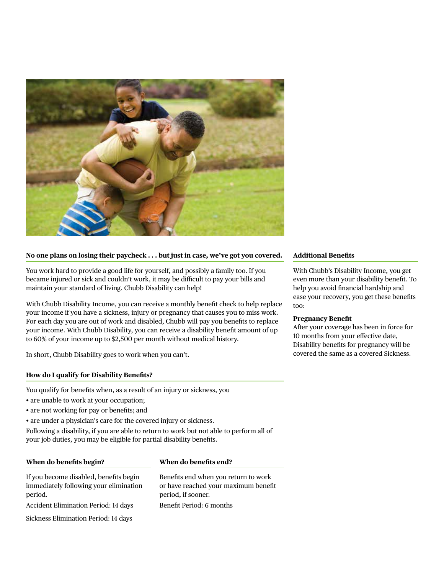

#### **No one plans on losing their paycheck . . . but just in case, we've got you covered.**

You work hard to provide a good life for yourself, and possibly a family too. If you became injured or sick and couldn't work, it may be difficult to pay your bills and maintain your standard of living. Chubb Disability can help!

With Chubb Disability Income, you can receive a monthly benefit check to help replace your income if you have a sickness, injury or pregnancy that causes you to miss work. For each day you are out of work and disabled, Chubb will pay you benefits to replace your income. With Chubb Disability, you can receive a disability benefit amount of up to 60% of your income up to \$2,500 per month without medical history.

In short, Chubb Disability goes to work when you can't.

#### **How do I qualify for Disability Benefits?**

You qualify for benefits when, as a result of an injury or sickness, you

- are unable to work at your occupation;
- are not working for pay or benefits; and
- are under a physician's care for the covered injury or sickness.

Following a disability, if you are able to return to work but not able to perform all of your job duties, you may be eligible for partial disability benefits.

#### **When do benefits begin?**

#### **When do benefits end?**

If you become disabled, benefits begin immediately following your elimination period.

Accident Elimination Period: 14 days

Sickness Elimination Period: 14 days

Benefits end when you return to work or have reached your maximum benefit period, if sooner. Benefit Period: 6 months

#### **Additional Benefits**

With Chubb's Disability Income, you get even more than your disability benefit. To help you avoid financial hardship and ease your recovery, you get these benefits too:

#### **Pregnancy Benefit**

After your coverage has been in force for 10 months from your effective date, Disability benefits for pregnancy will be covered the same as a covered Sickness.